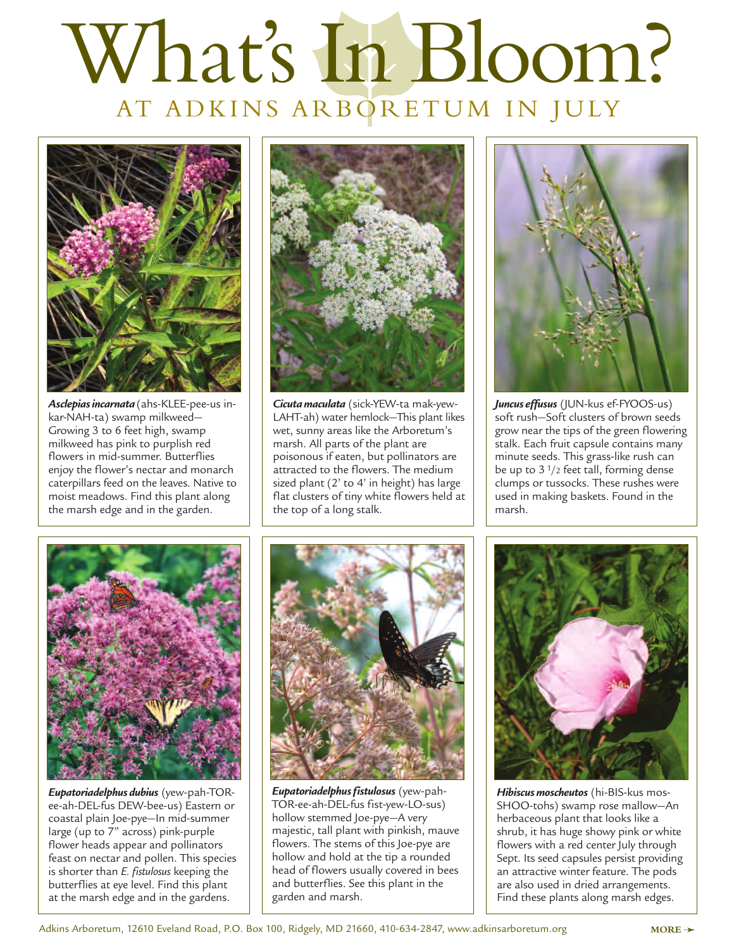## What's In Bloom? AT ADKINS ARBORETUM IN JULY



*Asclepias incarnata* (ahs-KLEE-pee-us inkar-NAH-ta) swamp milkweed— Growing 3 to 6 feet high, swamp milkweed has pink to purplish red flowers in mid-summer. Butterflies enjoy the flower's nectar and monarch caterpillars feed on the leaves. Native to moist meadows. Find this plant along the marsh edge and in the garden.



*Cicuta maculata* (sick-YEW-ta mak-yew-LAHT-ah) water hemlock—This plant likes wet, sunny areas like the Arboretum's marsh. All parts of the plant are poisonous if eaten, but pollinators are attracted to the flowers. The medium sized plant (2' to 4' in height) has large flat clusters of tiny white flowers held at the top of a long stalk.



*Juncus effusus* (JUN-kus ef-FYOOS-us) soft rush—Soft clusters of brown seeds grow near the tips of the green flowering stalk. Each fruit capsule contains many minute seeds. This grass-like rush can be up to 3 1/2 feet tall, forming dense clumps or tussocks. These rushes were used in making baskets. Found in the marsh.



*Eupatoriadelphus dubius* (yew-pah-TORee-ah-DEL-fus DEW-bee-us) Eastern or coastal plain Joe-pye—In mid-summer large (up to 7" across) pink-purple flower heads appear and pollinators feast on nectar and pollen. This species is shorter than *E. fistulosus* keeping the butterflies at eye level. Find this plant at the marsh edge and in the gardens.



*Eupatoriadelphus fistulosus* (yew-pah-TOR-ee-ah-DEL-fus fist-yew-LO-sus) hollow stemmed Joe-pye—A very majestic, tall plant with pinkish, mauve flowers. The stems of this Joe-pye are hollow and hold at the tip a rounded head of flowers usually covered in bees and butterflies. See this plant in the garden and marsh.



*Hibiscus moscheutos* (hi-BIS-kus mos-SHOO-tohs) swamp rose mallow—An herbaceous plant that looks like a shrub, it has huge showy pink or white flowers with a red center July through Sept. Its seed capsules persist providing an attractive winter feature. The pods are also used in dried arrangements. Find these plants along marsh edges.